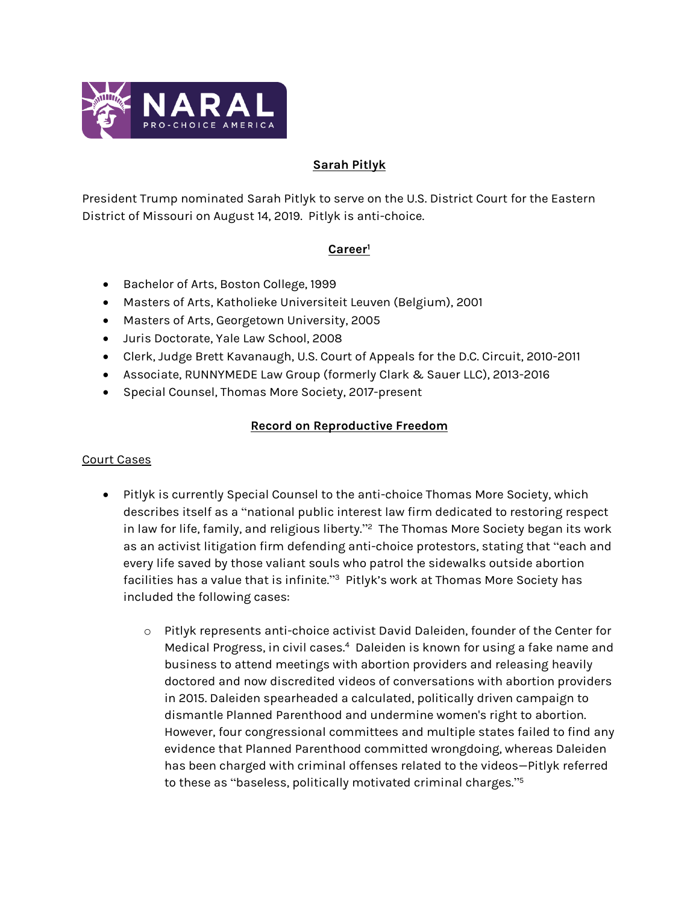

## **Sarah Pitlyk**

President Trump nominated Sarah Pitlyk to serve on the U.S. District Court for the Eastern District of Missouri on August 14, 2019. Pitlyk is anti-choice.

## **Career<sup>1</sup>**

- **Bachelor of Arts, Boston College, 1999**
- Masters of Arts, Katholieke Universiteit Leuven (Belgium), 2001
- Masters of Arts, Georgetown University, 2005
- Juris Doctorate, Yale Law School, 2008
- Clerk, Judge Brett Kavanaugh, U.S. Court of Appeals for the D.C. Circuit, 2010-2011
- Associate, RUNNYMEDE Law Group (formerly Clark & Sauer LLC), 2013-2016
- **Special Counsel, Thomas More Society, 2017-present**

# **Record on Reproductive Freedom**

#### Court Cases

- Pitlyk is currently Special Counsel to the anti-choice Thomas More Society, which describes itself as a "national public interest law firm dedicated to restoring respect in law for life, family, and religious liberty." 2 The Thomas More Society began its work as an activist litigation firm defending anti-choice protestors, stating that "each and every life saved by those valiant souls who patrol the sidewalks outside abortion facilities has a value that is infinite."<sup>3</sup> Pitlyk's work at Thomas More Society has included the following cases:
	- o Pitlyk represents anti-choice activist David Daleiden, founder of the Center for Medical Progress, in civil cases.<sup>4</sup> Daleiden is known for using a fake name and business to attend meetings with abortion providers and releasing heavily doctored and now discredited videos of conversations with abortion providers in 2015. Daleiden spearheaded a calculated, politically driven campaign to dismantle Planned Parenthood and undermine women's right to abortion. However, four congressional committees and multiple states failed to find any evidence that Planned Parenthood committed wrongdoing, whereas Daleiden has been charged with criminal offenses related to the videos—Pitlyk referred to these as "baseless, politically motivated criminal charges." 5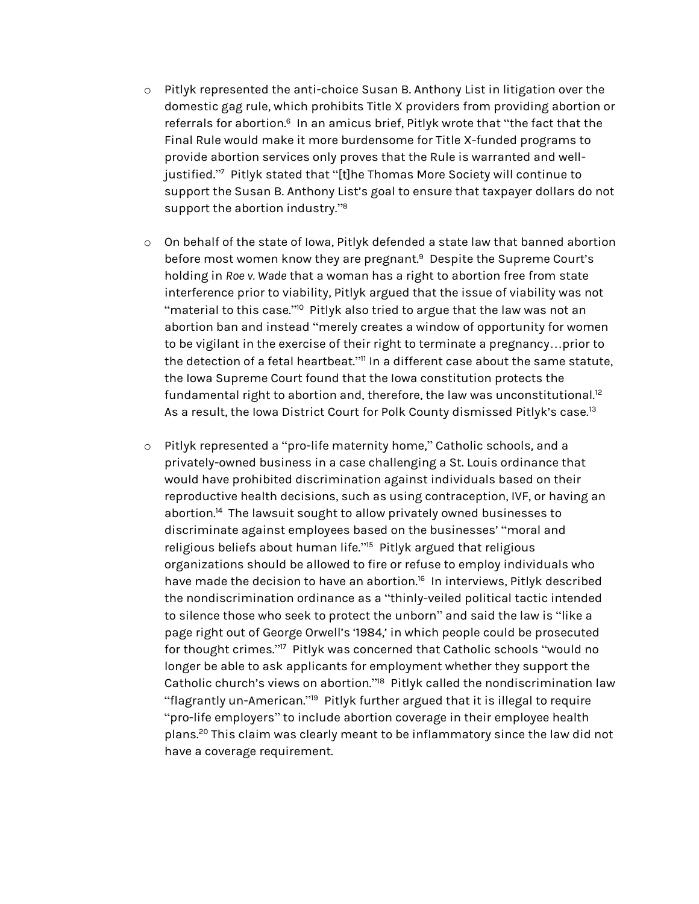- o Pitlyk represented the anti-choice Susan B. Anthony List in litigation over the domestic gag rule, which prohibits Title X providers from providing abortion or referrals for abortion.<sup>6</sup> In an amicus brief, Pitlyk wrote that "the fact that the Final Rule would make it more burdensome for Title X-funded programs to provide abortion services only proves that the Rule is warranted and welljustified." 7 Pitlyk stated that "[t]he Thomas More Society will continue to support the Susan B. Anthony List's goal to ensure that taxpayer dollars do not support the abortion industry."<sup>8</sup>
- o On behalf of the state of Iowa, Pitlyk defended a state law that banned abortion before most women know they are pregnant.<sup>9</sup> Despite the Supreme Court's holding in *Roe v. Wade* that a woman has a right to abortion free from state interference prior to viability, Pitlyk argued that the issue of viability was not "material to this case." <sup>10</sup> Pitlyk also tried to argue that the law was not an abortion ban and instead "merely creates a window of opportunity for women to be vigilant in the exercise of their right to terminate a pregnancy…prior to the detection of a fetal heartbeat." <sup>11</sup> In a different case about the same statute, the Iowa Supreme Court found that the Iowa constitution protects the fundamental right to abortion and, therefore, the law was unconstitutional.<sup>12</sup> As a result, the Iowa District Court for Polk County dismissed Pitlyk's case.<sup>13</sup>
- o Pitlyk represented a "pro-life maternity home," Catholic schools, and a privately-owned business in a case challenging a St. Louis ordinance that would have prohibited discrimination against individuals based on their reproductive health decisions, such as using contraception, IVF, or having an abortion.<sup>14</sup> The lawsuit sought to allow privately owned businesses to discriminate against employees based on the businesses' "moral and religious beliefs about human life." 15 Pitlyk argued that religious organizations should be allowed to fire or refuse to employ individuals who have made the decision to have an abortion.<sup>16</sup> In interviews, Pitlyk described the nondiscrimination ordinance as a "thinly-veiled political tactic intended to silence those who seek to protect the unborn" and said the law is "like a page right out of George Orwell's '1984,' in which people could be prosecuted for thought crimes." 17 Pitlyk was concerned that Catholic schools "would no longer be able to ask applicants for employment whether they support the Catholic church's views on abortion."<sup>18</sup> Pitlyk called the nondiscrimination law "flagrantly un-American."<sup>19</sup> Pitlyk further argued that it is illegal to require "pro-life employers" to include abortion coverage in their employee health plans.<sup>20</sup> This claim was clearly meant to be inflammatory since the law did not have a coverage requirement.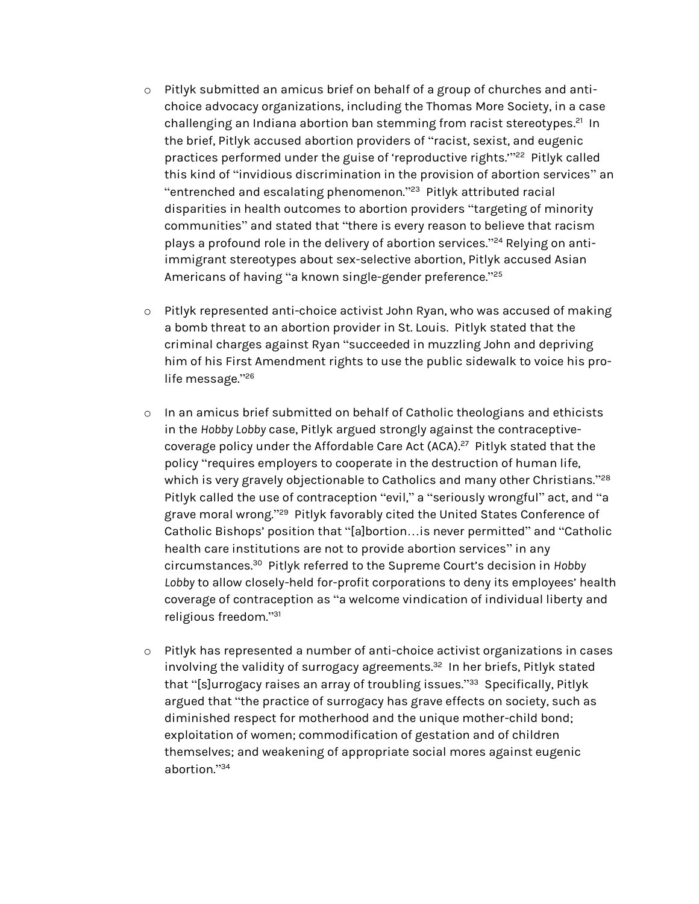- o Pitlyk submitted an amicus brief on behalf of a group of churches and antichoice advocacy organizations, including the Thomas More Society, in a case challenging an Indiana abortion ban stemming from racist stereotypes.<sup>21</sup> In the brief, Pitlyk accused abortion providers of "racist, sexist, and eugenic practices performed under the guise of 'reproductive rights."<sup>22</sup> Pitlyk called this kind of "invidious discrimination in the provision of abortion services" an "entrenched and escalating phenomenon." 23 Pitlyk attributed racial disparities in health outcomes to abortion providers "targeting of minority communities" and stated that "there is every reason to believe that racism plays a profound role in the delivery of abortion services." <sup>24</sup> Relying on antiimmigrant stereotypes about sex-selective abortion, Pitlyk accused Asian Americans of having ''a known single-gender preference.''<sup>25</sup>
- o Pitlyk represented anti-choice activist John Ryan, who was accused of making a bomb threat to an abortion provider in St. Louis. Pitlyk stated that the criminal charges against Ryan "succeeded in muzzling John and depriving him of his First Amendment rights to use the public sidewalk to voice his prolife message." 26
- o In an amicus brief submitted on behalf of Catholic theologians and ethicists in the *Hobby Lobby* case, Pitlyk argued strongly against the contraceptivecoverage policy under the Affordable Care Act (ACA).<sup>27</sup> Pitlyk stated that the policy "requires employers to cooperate in the destruction of human life, which is very gravely objectionable to Catholics and many other Christians."<sup>28</sup> Pitlyk called the use of contraception "evil," a "seriously wrongful" act, and "a grave moral wrong." 29 Pitlyk favorably cited the United States Conference of Catholic Bishops' position that "[a]bortion…is never permitted" and "Catholic health care institutions are not to provide abortion services" in any circumstances.<sup>30</sup> Pitlyk referred to the Supreme Court's decision in *Hobby Lobby* to allow closely-held for-profit corporations to deny its employees' health coverage of contraception as "a welcome vindication of individual liberty and religious freedom." 31
- o Pitlyk has represented a number of anti-choice activist organizations in cases involving the validity of surrogacy agreements. 32 In her briefs, Pitlyk stated that "[s]urrogacy raises an array of troubling issues." 33 Specifically, Pitlyk argued that "the practice of surrogacy has grave effects on society, such as diminished respect for motherhood and the unique mother-child bond; exploitation of women; commodification of gestation and of children themselves; and weakening of appropriate social mores against eugenic abortion." 34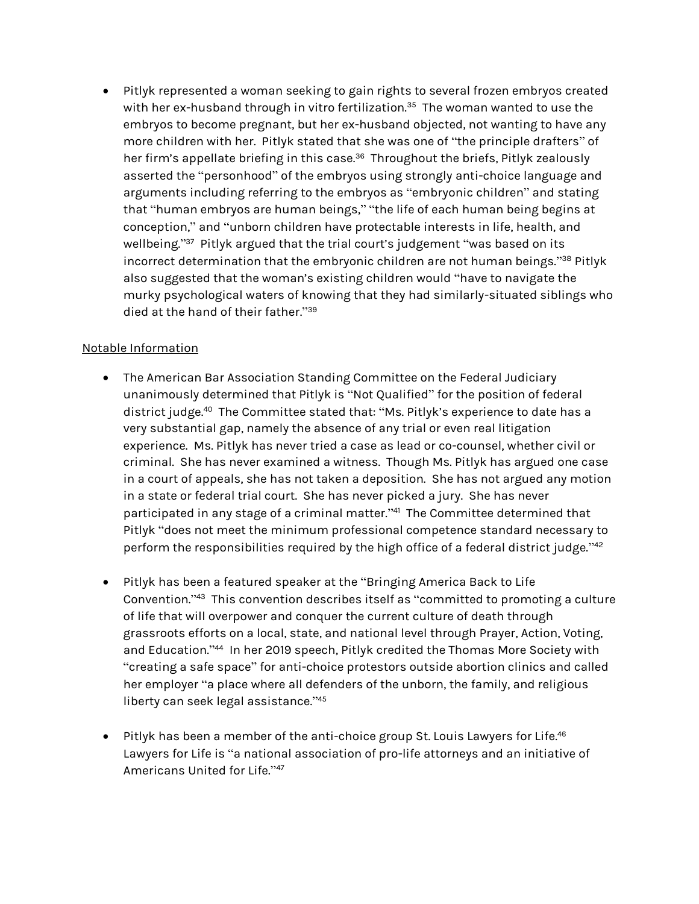Pitlyk represented a woman seeking to gain rights to several frozen embryos created with her ex-husband through in vitro fertilization.<sup>35</sup> The woman wanted to use the embryos to become pregnant, but her ex-husband objected, not wanting to have any more children with her. Pitlyk stated that she was one of "the principle drafters" of her firm's appellate briefing in this case.<sup>36</sup> Throughout the briefs, Pitlyk zealously asserted the "personhood" of the embryos using strongly anti-choice language and arguments including referring to the embryos as "embryonic children" and stating that "human embryos are human beings," "the life of each human being begins at conception," and "unborn children have protectable interests in life, health, and wellbeing." 37 Pitlyk argued that the trial court's judgement "was based on its incorrect determination that the embryonic children are not human beings." <sup>38</sup> Pitlyk also suggested that the woman's existing children would "have to navigate the murky psychological waters of knowing that they had similarly-situated siblings who died at the hand of their father." 39

## Notable Information

- The American Bar Association Standing Committee on the Federal Judiciary unanimously determined that Pitlyk is "Not Qualified" for the position of federal district judge.<sup>40</sup> The Committee stated that: "Ms. Pitlyk's experience to date has a very substantial gap, namely the absence of any trial or even real litigation experience. Ms. Pitlyk has never tried a case as lead or co-counsel, whether civil or criminal. She has never examined a witness. Though Ms. Pitlyk has argued one case in a court of appeals, she has not taken a deposition. She has not argued any motion in a state or federal trial court. She has never picked a jury. She has never participated in any stage of a criminal matter." 41 The Committee determined that Pitlyk "does not meet the minimum professional competence standard necessary to perform the responsibilities required by the high office of a federal district judge."<sup>42</sup>
- Pitlyk has been a featured speaker at the "Bringing America Back to Life Convention."<sup>43</sup> This convention describes itself as "committed to promoting a culture of life that will overpower and conquer the current culture of death through grassroots efforts on a local, state, and national level through Prayer, Action, Voting, and Education."<sup>44</sup> In her 2019 speech, Pitlyk credited the Thomas More Society with "creating a safe space" for anti-choice protestors outside abortion clinics and called her employer "a place where all defenders of the unborn, the family, and religious liberty can seek legal assistance." 45
- $\bullet$  Pitlyk has been a member of the anti-choice group St. Louis Lawyers for Life. $^{46}$ Lawyers for Life is "a national association of pro-life attorneys and an initiative of Americans United for Life." 47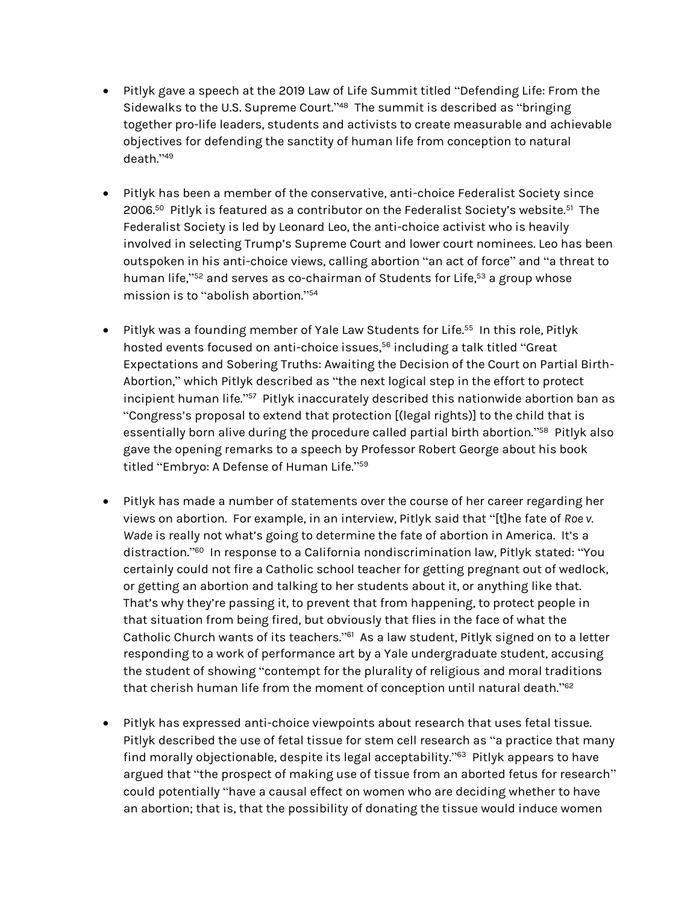- Pitlyk gave a speech at the 2019 Law of Life Summit titled "Defending Life: From the Sidewalks to the U.S. Supreme Court." 48 The summit is described as "bringing together pro-life leaders, students and activists to create measurable and achievable objectives for defending the sanctity of human life from conception to natural death." 49
- Pitlyk has been a member of the conservative, anti-choice Federalist Society since 2006.<sup>50</sup> Pitlyk is featured as a contributor on the Federalist Society's website.<sup>51</sup> The Federalist Society is led by Leonard Leo, the anti-choice activist who is heavily involved in selecting Trump's Supreme Court and lower court nominees. Leo has been outspoken in his anti-choice views, calling abortion "an act of force" and "a threat to human life,"<sup>52</sup> and serves as co-chairman of Students for Life,<sup>53</sup> a group whose mission is to "abolish abortion." 54
- $\bullet$  Pitlyk was a founding member of Yale Law Students for Life.<sup>55</sup> In this role, Pitlyk hosted events focused on anti-choice issues, <sup>56</sup> including a talk titled "Great Expectations and Sobering Truths: Awaiting the Decision of the Court on Partial Birth-Abortion," which Pitlyk described as "the next logical step in the effort to protect incipient human life."<sup>57</sup> Pitlyk inaccurately described this nationwide abortion ban as "Congress's proposal to extend that protection [(legal rights)] to the child that is essentially born alive during the procedure called partial birth abortion."<sup>58</sup> Pitlyk also gave the opening remarks to a speech by Professor Robert George about his book titled "Embryo: A Defense of Human Life." 59
- Pitlyk has made a number of statements over the course of her career regarding her views on abortion. For example, in an interview, Pitlyk said that "[t]he fate of *Roe v. Wade* is really not what's going to determine the fate of abortion in America. It's a distraction." 60 In response to a California nondiscrimination law, Pitlyk stated: "You certainly could not fire a Catholic school teacher for getting pregnant out of wedlock, or getting an abortion and talking to her students about it, or anything like that. That's why they're passing it, to prevent that from happening, to protect people in that situation from being fired, but obviously that flies in the face of what the Catholic Church wants of its teachers."<sup>61</sup> As a law student, Pitlyk signed on to a letter responding to a work of performance art by a Yale undergraduate student, accusing the student of showing "contempt for the plurality of religious and moral traditions that cherish human life from the moment of conception until natural death." 62
- Pitlyk has expressed anti-choice viewpoints about research that uses fetal tissue. Pitlyk described the use of fetal tissue for stem cell research as "a practice that many find morally objectionable, despite its legal acceptability." 63 Pitlyk appears to have argued that "the prospect of making use of tissue from an aborted fetus for research" could potentially "have a causal effect on women who are deciding whether to have an abortion; that is, that the possibility of donating the tissue would induce women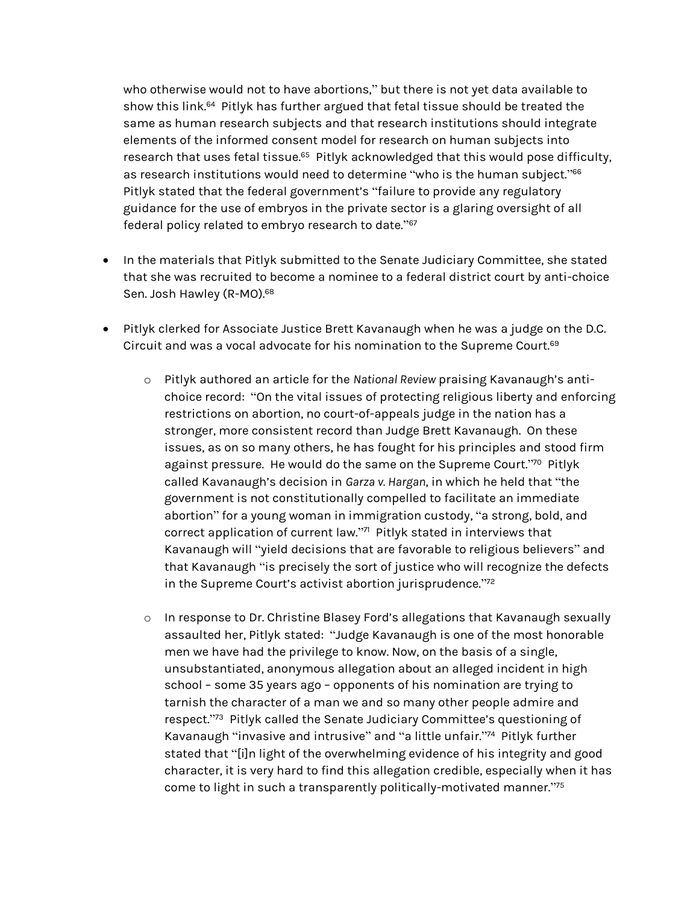who otherwise would not to have abortions," but there is not yet data available to show this link.<sup>64</sup> Pitlyk has further argued that fetal tissue should be treated the same as human research subjects and that research institutions should integrate elements of the informed consent model for research on human subjects into research that uses fetal tissue.<sup>65</sup> Pitlyk acknowledged that this would pose difficulty, as research institutions would need to determine "who is the human subject."<sup>66</sup> Pitlyk stated that the federal government's "failure to provide any regulatory guidance for the use of embryos in the private sector is a glaring oversight of all federal policy related to embryo research to date." 67

- In the materials that Pitlyk submitted to the Senate Judiciary Committee, she stated that she was recruited to become a nominee to a federal district court by anti-choice Sen. Josh Hawley (R-MO).<sup>68</sup>
- Pitlyk clerked for Associate Justice Brett Kavanaugh when he was a judge on the D.C. Circuit and was a vocal advocate for his nomination to the Supreme Court. $^{69}$ 
	- o Pitlyk authored an article for the *National Review* praising Kavanaugh's antichoice record: "On the vital issues of protecting religious liberty and enforcing restrictions on abortion, no court-of-appeals judge in the nation has a stronger, more consistent record than Judge Brett Kavanaugh. On these issues, as on so many others, he has fought for his principles and stood firm against pressure. He would do the same on the Supreme Court."70 Pitlyk called Kavanaugh's decision in *Garza v. Hargan*, in which he held that "the government is not constitutionally compelled to facilitate an immediate abortion" for a young woman in immigration custody, "a strong, bold, and correct application of current law." 71 Pitlyk stated in interviews that Kavanaugh will "yield decisions that are favorable to religious believers" and that Kavanaugh "is precisely the sort of justice who will recognize the defects in the Supreme Court's activist abortion jurisprudence." 72
	- o In response to Dr. Christine Blasey Ford's allegations that Kavanaugh sexually assaulted her, Pitlyk stated: "Judge Kavanaugh is one of the most honorable men we have had the privilege to know. Now, on the basis of a single, unsubstantiated, anonymous allegation about an alleged incident in high school – some 35 years ago – opponents of his nomination are trying to tarnish the character of a man we and so many other people admire and respect."<sup>73</sup> Pitlyk called the Senate Judiciary Committee's questioning of Kavanaugh "invasive and intrusive" and "a little unfair." 74 Pitlyk further stated that "[i]n light of the overwhelming evidence of his integrity and good character, it is very hard to find this allegation credible, especially when it has come to light in such a transparently politically-motivated manner. $\mathrm{^{275}}$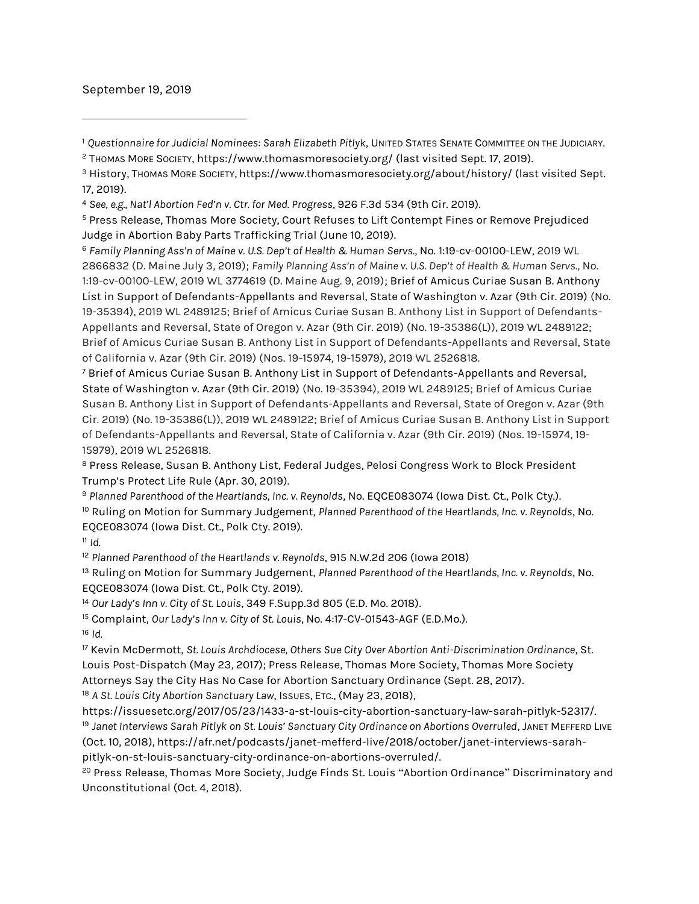### September 19, 2019

l

<sup>1</sup> Questionnaire for Judicial Nominees: Sarah Elizabeth Pitlyk, UNITED STATES SENATE COMMITTEE ON THE JUDICIARY.

<sup>8</sup> Press Release, Susan B. Anthony List, Federal Judges, Pelosi Congress Work to Block President Trump's Protect Life Rule (Apr. 30, 2019).

<sup>9</sup> *Planned Parenthood of the Heartlands, Inc. v. Reynolds*, No. EQCE083074 (Iowa Dist. Ct., Polk Cty.). <sup>10</sup> Ruling on Motion for Summary Judgement, *Planned Parenthood of the Heartlands, Inc. v. Reynolds*, No. EQCE083074 (Iowa Dist. Ct., Polk Cty. 2019).

 $11$  *Id.* 

<sup>12</sup> *Planned Parenthood of the Heartlands v. Reynolds*, 915 N.W.2d 206 (Iowa 2018)

<sup>13</sup> Ruling on Motion for Summary Judgement, *Planned Parenthood of the Heartlands, Inc. v. Reynolds*, No. EQCE083074 (Iowa Dist. Ct., Polk Cty. 2019).

<sup>14</sup> *Our Lady's Inn v. City of St. Louis*, 349 F.Supp.3d 805 (E.D. Mo. 2018).

<sup>15</sup> Complaint, *Our Lady's Inn v. City of St. Louis*, No. 4:17-CV-01543-AGF (E.D.Mo.). <sup>16</sup> *Id.*

<sup>17</sup> Kevin McDermott, *St. Louis Archdiocese, Others Sue City Over Abortion Anti-Discrimination Ordinance*, St. Louis Post-Dispatch (May 23, 2017); Press Release, Thomas More Society, Thomas More Society Attorneys Say the City Has No Case for Abortion Sanctuary Ordinance (Sept. 28, 2017).

<sup>18</sup> A St. Louis City Abortion Sanctuary Law, Issues, ETC., (May 23, 2018),

https://issuesetc.org/2017/05/23/1433-a-st-louis-city-abortion-sanctuary-law-sarah-pitlyk-52317/. <sup>19</sup> *Janet Interviews Sarah Pitlyk on St. Louis' Sanctuary City Ordinance on Abortions Overruled*, JANET MEFFERD LIVE (Oct. 10, 2018), https://afr.net/podcasts/janet-mefferd-live/2018/october/janet-interviews-sarahpitlyk-on-st-louis-sanctuary-city-ordinance-on-abortions-overruled/.

<sup>20</sup> Press Release, Thomas More Society, Judge Finds St. Louis "Abortion Ordinance" Discriminatory and Unconstitutional (Oct. 4, 2018).

<sup>2</sup> THOMAS MORE SOCIETY, https://www.thomasmoresociety.org/ (last visited Sept. 17, 2019).

<sup>&</sup>lt;sup>3</sup> History, Thomas More Society, https://www.thomasmoresociety.org/about/history/ (last visited Sept. 17, 2019).

<sup>4</sup> *See, e.g., Nat'l Abortion Fed'n v. Ctr. for Med. Progress*, 926 F.3d 534 (9th Cir. 2019).

<sup>5</sup> Press Release, Thomas More Society, Court Refuses to Lift Contempt Fines or Remove Prejudiced Judge in Abortion Baby Parts Trafficking Trial (June 10, 2019).

<sup>6</sup> *Family Planning Ass'n of Maine v. U.S. Dep't of Health & Human Servs.*, No. 1:19-cv-00100-LEW, 2019 WL 2866832 (D. Maine July 3, 2019); *Family Planning Ass'n of Maine v. U.S. Dep't of Health & Human Servs.*, No. 1:19-cv-00100-LEW, 2019 WL 3774619 (D. Maine Aug. 9, 2019); Brief of Amicus Curiae Susan B. Anthony List in Support of Defendants-Appellants and Reversal, State of Washington v. Azar (9th Cir. 2019) (No. 19-35394), 2019 WL 2489125; Brief of Amicus Curiae Susan B. Anthony List in Support of Defendants-Appellants and Reversal, State of Oregon v. Azar (9th Cir. 2019) (No. 19-35386(L)), 2019 WL 2489122; Brief of Amicus Curiae Susan B. Anthony List in Support of Defendants-Appellants and Reversal, State of California v. Azar (9th Cir. 2019) (Nos. 19-15974, 19-15979), 2019 WL 2526818.

<sup>7</sup> Brief of Amicus Curiae Susan B. Anthony List in Support of Defendants-Appellants and Reversal, State of Washington v. Azar (9th Cir. 2019) (No. 19-35394), 2019 WL 2489125; Brief of Amicus Curiae Susan B. Anthony List in Support of Defendants-Appellants and Reversal, State of Oregon v. Azar (9th Cir. 2019) (No. 19-35386(L)), 2019 WL 2489122; Brief of Amicus Curiae Susan B. Anthony List in Support of Defendants-Appellants and Reversal, State of California v. Azar (9th Cir. 2019) (Nos. 19-15974, 19- 15979), 2019 WL 2526818.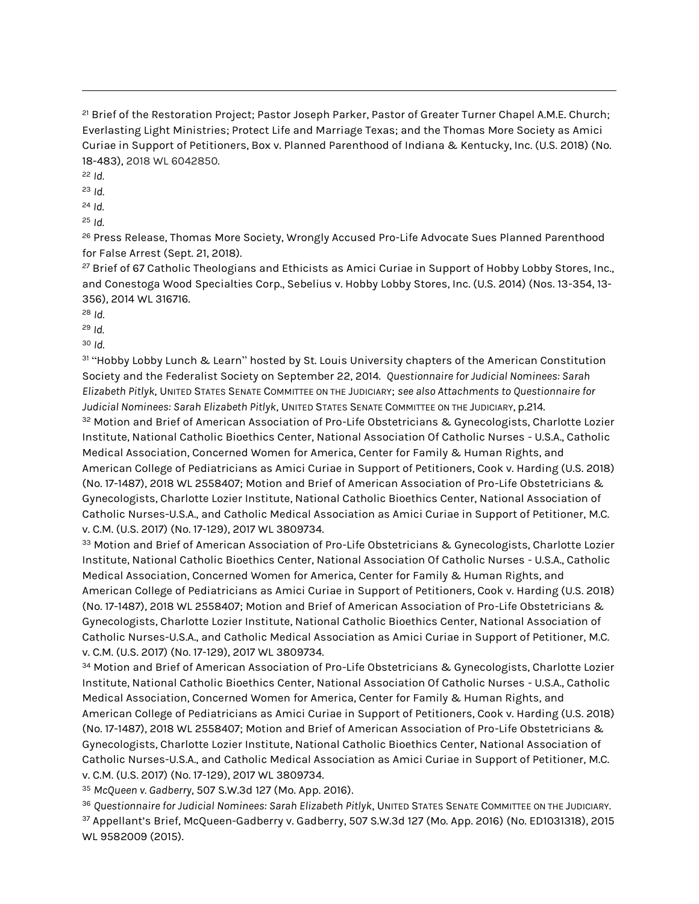<sup>21</sup> Brief of the Restoration Project; Pastor Joseph Parker, Pastor of Greater Turner Chapel A.M.E. Church; Everlasting Light Ministries; Protect Life and Marriage Texas; and the Thomas More Society as Amici Curiae in Support of Petitioners, Box v. Planned Parenthood of Indiana & Kentucky, Inc. (U.S. 2018) (No. 18-483), 2018 WL 6042850.

<sup>22</sup> *Id.*

 $\overline{a}$ 

<sup>23</sup> *Id.*

<sup>24</sup> *Id.*

<sup>25</sup> *Id.*

<sup>26</sup> Press Release, Thomas More Society, Wrongly Accused Pro-Life Advocate Sues Planned Parenthood for False Arrest (Sept. 21, 2018).

<sup>27</sup> Brief of 67 Catholic Theologians and Ethicists as Amici Curiae in Support of Hobby Lobby Stores, Inc., and Conestoga Wood Specialties Corp., Sebelius v. Hobby Lobby Stores, Inc. (U.S. 2014) (Nos. 13-354, 13- 356), 2014 WL 316716.

<sup>28</sup> *Id.*

<sup>29</sup> *Id.*

<sup>30</sup> *Id.*

<sup>31</sup> "Hobby Lobby Lunch & Learn" hosted by St. Louis University chapters of the American Constitution Society and the Federalist Society on September 22, 2014. *Questionnaire for Judicial Nominees: Sarah Elizabeth Pitlyk*, UNITED STATES SENATE COMMITTEE ON THE JUDICIARY; *see also Attachments to Questionnaire for Judicial Nominees: Sarah Elizabeth Pitlyk*, UNITED STATES SENATE COMMITTEE ON THE JUDICIARY, p.214. 32 Motion and Brief of American Association of Pro-Life Obstetricians & Gynecologists, Charlotte Lozier

Institute, National Catholic Bioethics Center, National Association Of Catholic Nurses - U.S.A., Catholic Medical Association, Concerned Women for America, Center for Family & Human Rights, and American College of Pediatricians as Amici Curiae in Support of Petitioners, Cook v. Harding (U.S. 2018) (No. 17-1487), 2018 WL 2558407; Motion and Brief of American Association of Pro-Life Obstetricians & Gynecologists, Charlotte Lozier Institute, National Catholic Bioethics Center, National Association of Catholic Nurses-U.S.A., and Catholic Medical Association as Amici Curiae in Support of Petitioner, M.C. v. C.M. (U.S. 2017) (No. 17-129), 2017 WL 3809734.

33 Motion and Brief of American Association of Pro-Life Obstetricians & Gynecologists, Charlotte Lozier Institute, National Catholic Bioethics Center, National Association Of Catholic Nurses - U.S.A., Catholic Medical Association, Concerned Women for America, Center for Family & Human Rights, and American College of Pediatricians as Amici Curiae in Support of Petitioners, Cook v. Harding (U.S. 2018) (No. 17-1487), 2018 WL 2558407; Motion and Brief of American Association of Pro-Life Obstetricians & Gynecologists, Charlotte Lozier Institute, National Catholic Bioethics Center, National Association of Catholic Nurses-U.S.A., and Catholic Medical Association as Amici Curiae in Support of Petitioner, M.C. v. C.M. (U.S. 2017) (No. 17-129), 2017 WL 3809734.

34 Motion and Brief of American Association of Pro-Life Obstetricians & Gynecologists, Charlotte Lozier Institute, National Catholic Bioethics Center, National Association Of Catholic Nurses - U.S.A., Catholic Medical Association, Concerned Women for America, Center for Family & Human Rights, and American College of Pediatricians as Amici Curiae in Support of Petitioners, Cook v. Harding (U.S. 2018) (No. 17-1487), 2018 WL 2558407; Motion and Brief of American Association of Pro-Life Obstetricians & Gynecologists, Charlotte Lozier Institute, National Catholic Bioethics Center, National Association of Catholic Nurses-U.S.A., and Catholic Medical Association as Amici Curiae in Support of Petitioner, M.C. v. C.M. (U.S. 2017) (No. 17-129), 2017 WL 3809734.

<sup>35</sup> *McQueen v. Gadberry*, 507 S.W.3d 127 (Mo. App. 2016).

<sup>36</sup> *Questionnaire for Judicial Nominees: Sarah Elizabeth Pitlyk*, UNITED STATES SENATE COMMITTEE ON THE JUDICIARY. <sup>37</sup> Appellant's Brief, McQueen-Gadberry v. Gadberry, 507 S.W.3d 127 (Mo. App. 2016) (No. ED1031318), 2015 WL 9582009 (2015).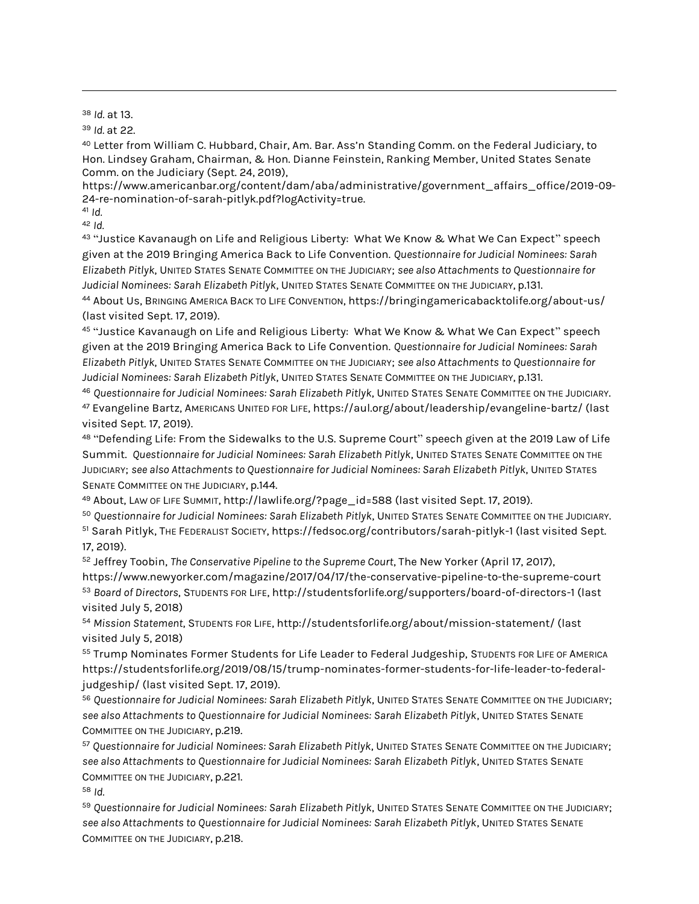<sup>38</sup> *Id.* at 13.

 $\overline{a}$ 

<sup>39</sup> *Id.* at 22.

<sup>40</sup> Letter from William C. Hubbard, Chair, Am. Bar. Ass'n Standing Comm. on the Federal Judiciary, to Hon. Lindsey Graham, Chairman, & Hon. Dianne Feinstein, Ranking Member, United States Senate Comm. on the Judiciary (Sept. 24, 2019),

https://www.americanbar.org/content/dam/aba/administrative/government\_affairs\_office/2019-09- 24-re-nomination-of-sarah-pitlyk.pdf?logActivity=true.

<sup>41</sup> *Id.*

<sup>42</sup> *Id.*

43 "Justice Kavanaugh on Life and Religious Liberty: What We Know & What We Can Expect" speech given at the 2019 Bringing America Back to Life Convention. *Questionnaire for Judicial Nominees: Sarah Elizabeth Pitlyk*, UNITED STATES SENATE COMMITTEE ON THE JUDICIARY; *see also Attachments to Questionnaire for Judicial Nominees: Sarah Elizabeth Pitlyk*, UNITED STATES SENATE COMMITTEE ON THE JUDICIARY, p.131.

<sup>44</sup> About Us, BRINGING AMERICA BACK TO LIFE CONVENTION, https://bringingamericabacktolife.org/about-us/ (last visited Sept. 17, 2019).

<sup>45</sup> "Justice Kavanaugh on Life and Religious Liberty: What We Know & What We Can Expect" speech given at the 2019 Bringing America Back to Life Convention. *Questionnaire for Judicial Nominees: Sarah Elizabeth Pitlyk*, UNITED STATES SENATE COMMITTEE ON THE JUDICIARY; *see also Attachments to Questionnaire for Judicial Nominees: Sarah Elizabeth Pitlyk*, UNITED STATES SENATE COMMITTEE ON THE JUDICIARY, p.131.

<sup>46</sup> *Questionnaire for Judicial Nominees: Sarah Elizabeth Pitlyk*, UNITED STATES SENATE COMMITTEE ON THE JUDICIARY. <sup>47</sup> Evangeline Bartz, AMERICANS UNITED FOR LIFE, https://aul.org/about/leadership/evangeline-bartz/ (last visited Sept. 17, 2019).

48 "Defending Life: From the Sidewalks to the U.S. Supreme Court" speech given at the 2019 Law of Life Summit. *Questionnaire for Judicial Nominees: Sarah Elizabeth Pitlyk*, UNITED STATES SENATE COMMITTEE ON THE JUDICIARY; *see also Attachments to Questionnaire for Judicial Nominees: Sarah Elizabeth Pitlyk*, UNITED STATES SENATE COMMITTEE ON THE JUDICIARY, p.144.

<sup>49</sup> About, LAW OF LIFE SUMMIT, http://lawlife.org/?page\_id=588 (last visited Sept. 17, 2019).

<sup>50</sup> *Questionnaire for Judicial Nominees: Sarah Elizabeth Pitlyk*, UNITED STATES SENATE COMMITTEE ON THE JUDICIARY. <sup>51</sup> Sarah Pitlyk, THE FEDERALIST SOCIETY, https://fedsoc.org/contributors/sarah-pitlyk-1 (last visited Sept. 17, 2019).

<sup>52</sup> Jeffrey Toobin, *The Conservative Pipeline to the Supreme Court*, The New Yorker (April 17, 2017), https://www.newyorker.com/magazine/2017/04/17/the-conservative-pipeline-to-the-supreme-court <sup>53</sup> *Board of Directors*, STUDENTS FOR LIFE, http://studentsforlife.org/supporters/board-of-directors-1 (last visited July 5, 2018)

<sup>54</sup> *Mission Statement*, STUDENTS FOR LIFE, http://studentsforlife.org/about/mission-statement/ (last visited July 5, 2018)

55 Trump Nominates Former Students for Life Leader to Federal Judgeship, STUDENTS FOR LIFE OF AMERICA https://studentsforlife.org/2019/08/15/trump-nominates-former-students-for-life-leader-to-federaljudgeship/ (last visited Sept. 17, 2019).

<sup>56</sup> *Questionnaire for Judicial Nominees: Sarah Elizabeth Pitlyk*, UNITED STATES SENATE COMMITTEE ON THE JUDICIARY; *see also Attachments to Questionnaire for Judicial Nominees: Sarah Elizabeth Pitlyk*, UNITED STATES SENATE COMMITTEE ON THE JUDICIARY, p.219.

<sup>57</sup> *Questionnaire for Judicial Nominees: Sarah Elizabeth Pitlyk*, UNITED STATES SENATE COMMITTEE ON THE JUDICIARY; *see also Attachments to Questionnaire for Judicial Nominees: Sarah Elizabeth Pitlyk*, UNITED STATES SENATE COMMITTEE ON THE JUDICIARY, p.221.

<sup>58</sup> *Id.*

<sup>59</sup> *Questionnaire for Judicial Nominees: Sarah Elizabeth Pitlyk*, UNITED STATES SENATE COMMITTEE ON THE JUDICIARY; *see also Attachments to Questionnaire for Judicial Nominees: Sarah Elizabeth Pitlyk*, UNITED STATES SENATE COMMITTEE ON THE JUDICIARY, p.218.